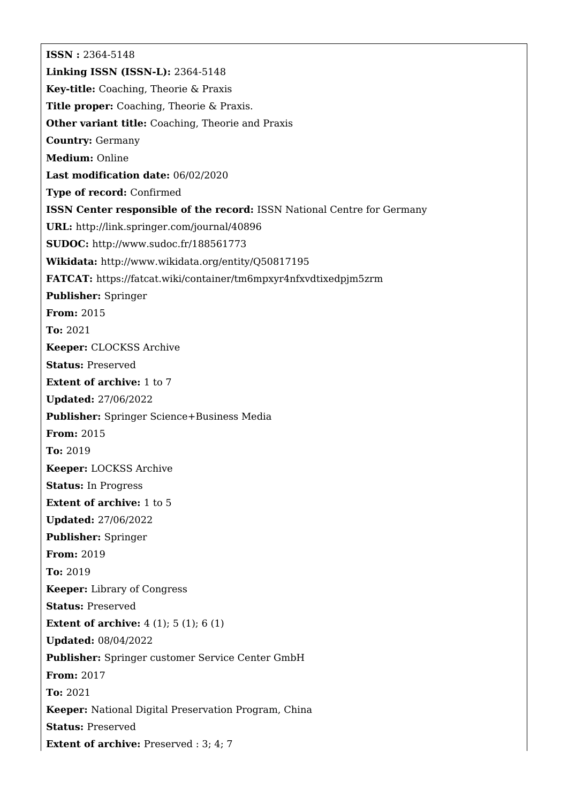**ISSN :** 2364-5148 **Linking ISSN (ISSN-L):** 2364-5148 **Key-title:** Coaching, Theorie & Praxis **Title proper:** Coaching, Theorie & Praxis. **Other variant title:** Coaching, Theorie and Praxis **Country:** Germany **Medium:** Online **Last modification date:** 06/02/2020 **Type of record:** Confirmed **ISSN Center responsible of the record:** ISSN National Centre for Germany **URL:** <http://link.springer.com/journal/40896> **SUDOC:** <http://www.sudoc.fr/188561773> **Wikidata:** <http://www.wikidata.org/entity/Q50817195> **FATCAT:** <https://fatcat.wiki/container/tm6mpxyr4nfxvdtixedpjm5zrm> **Publisher:** Springer **From:** 2015 **To:** 2021 **Keeper:** CLOCKSS Archive **Status:** Preserved **Extent of archive:** 1 to 7 **Updated:** 27/06/2022 **Publisher:** Springer Science+Business Media **From:** 2015 **To:** 2019 **Keeper:** LOCKSS Archive **Status:** In Progress **Extent of archive:** 1 to 5 **Updated:** 27/06/2022 **Publisher:** Springer **From:** 2019 **To:** 2019 **Keeper:** Library of Congress **Status:** Preserved **Extent of archive:** 4 (1); 5 (1); 6 (1) **Updated:** 08/04/2022 **Publisher:** Springer customer Service Center GmbH **From:** 2017 **To:** 2021 **Keeper:** National Digital Preservation Program, China **Status:** Preserved **Extent of archive:** Preserved : 3; 4; 7